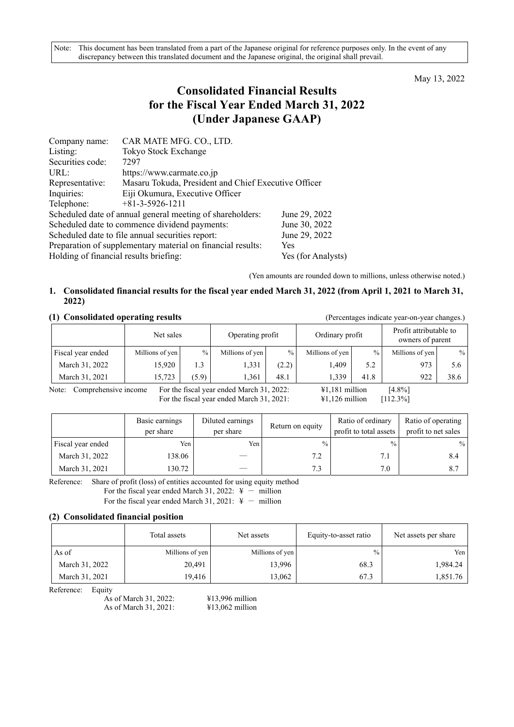May 13, 2022

# **Consolidated Financial Results for the Fiscal Year Ended March 31, 2022 (Under Japanese GAAP)**

| Company name:                          | CAR MATE MFG. CO., LTD.                                     |                    |  |  |  |
|----------------------------------------|-------------------------------------------------------------|--------------------|--|--|--|
| Listing:                               | Tokyo Stock Exchange                                        |                    |  |  |  |
| Securities code:                       | 7297                                                        |                    |  |  |  |
| URL:                                   | https://www.carmate.co.jp                                   |                    |  |  |  |
| Representative:                        | Masaru Tokuda, President and Chief Executive Officer        |                    |  |  |  |
| Inquiries:                             | Eiji Okumura, Executive Officer                             |                    |  |  |  |
| Telephone:                             | $+81-3-5926-1211$                                           |                    |  |  |  |
|                                        | Scheduled date of annual general meeting of shareholders:   | June 29, 2022      |  |  |  |
|                                        | Scheduled date to commence dividend payments:               | June 30, 2022      |  |  |  |
|                                        | Scheduled date to file annual securities report:            | June 29, 2022      |  |  |  |
|                                        | Preparation of supplementary material on financial results: | Yes                |  |  |  |
| Holding of financial results briefing: |                                                             | Yes (for Analysts) |  |  |  |

(Yen amounts are rounded down to millions, unless otherwise noted.)

# **1. Consolidated financial results for the fiscal year ended March 31, 2022 (from April 1, 2021 to March 31, 2022)**

#### **(1) Consolidated operating results** (Percentages indicate year-on-year changes.)

|                               |                 | Net sales |                                           | Operating profit |                          | Ordinary profit |                 | Profit attributable to<br>owners of parent |  |
|-------------------------------|-----------------|-----------|-------------------------------------------|------------------|--------------------------|-----------------|-----------------|--------------------------------------------|--|
| Fiscal year ended             | Millions of yen | $\%$      | Millions of yen                           | $\%$             | Millions of yen          | $\frac{0}{0}$   | Millions of yen | $\frac{0}{0}$                              |  |
| March 31, 2022                | 15.920          | 1.3       | 1.331                                     | (2.2)            | .409                     | 5.2             | 973             | 5.6                                        |  |
| March 31, 2021                | 15.723          | (5.9)     | 1.361                                     | 48.1             | 1,339                    | 41.8            | 922             | 38.6                                       |  |
| Comprehensive income<br>Note: |                 |           | For the fiscal year ended March 31, 2022: |                  | $\text{\#1,181}$ million |                 | $[4.8\%]$       |                                            |  |

For the fiscal year ended March 31, 2021:  $\qquad \qquad \text{\$1,126$ million} \qquad \text{\[112.3\%]}$ 

|                   | Basic earnings<br>per share | Diluted earnings<br>per share | Return on equity | Ratio of ordinary<br>profit to total assets | Ratio of operating<br>profit to net sales |
|-------------------|-----------------------------|-------------------------------|------------------|---------------------------------------------|-------------------------------------------|
| Fiscal year ended | Yen                         | Yen                           | $\frac{0}{0}$    | $\frac{0}{0}$                               | $\frac{0}{0}$                             |
| March 31, 2022    | 138.06                      |                               | 7.2              | 7.1                                         | 8.4                                       |
| March 31, 2021    | 130.72                      |                               | 7.3              | 7.0                                         | 8.7                                       |

Reference: Share of profit (loss) of entities accounted for using equity method

For the fiscal year ended March 31, 2022:  $\frac{4}{5}$  - million

For the fiscal year ended March 31, 2021:  $\frac{4}{5}$  - million

### **(2) Consolidated financial position**

|                | Total assets    | Net assets      | Equity-to-asset ratio | Net assets per share |
|----------------|-----------------|-----------------|-----------------------|----------------------|
| As of          | Millions of yen | Millions of yen | $\%$                  | Yen                  |
| March 31, 2022 | 20,491          | 13,996          | 68.3                  | 1,984.24             |
| March 31, 2021 | 19,416          | 13,062          | 67.3                  | 1,851.76             |

Reference: Equity

As of March 31, 2022: ¥13,996 million As of March 31, 2021: ¥13,062 million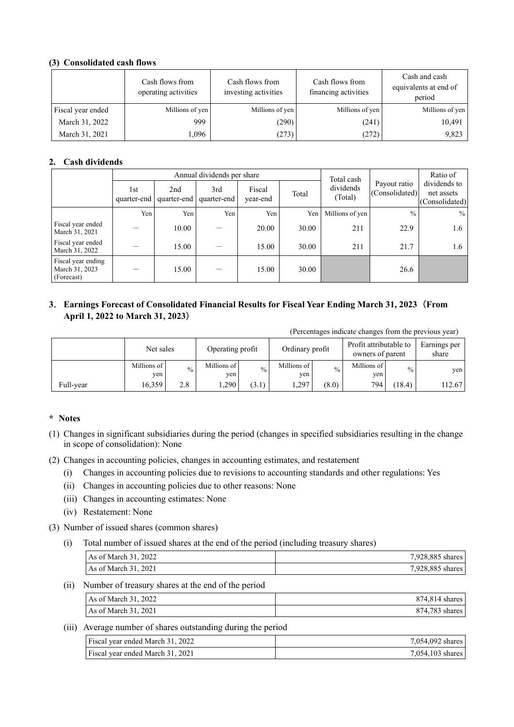## **(3) Consolidated cash flows**

|                   | Cash flows from<br>operating activities | Cash flows from<br>investing activities | Cash flows from<br>financing activities | Cash and cash<br>equivalents at end of<br>period |
|-------------------|-----------------------------------------|-----------------------------------------|-----------------------------------------|--------------------------------------------------|
| Fiscal year ended | Millions of yen                         | Millions of yen                         | Millions of yen                         | Millions of yen                                  |
| March 31, 2022    | 999                                     | (290)                                   | (241)                                   | 10,491                                           |
| March 31, 2021    | 1,096                                   | (273)                                   | (272)                                   | 9,823                                            |

# **2. Cash dividends**

|                                                    |                    | Annual dividends per share<br>Total cash |                    |                    |       |                      |                                | Ratio of                                     |
|----------------------------------------------------|--------------------|------------------------------------------|--------------------|--------------------|-------|----------------------|--------------------------------|----------------------------------------------|
|                                                    | 1st<br>quarter-end | 2nd<br>quarter-end                       | 3rd<br>quarter-end | Fiscal<br>year-end | Total | dividends<br>(Total) | Payout ratio<br>(Consolidated) | dividends to<br>net assets<br>(Consolidated) |
|                                                    | Yen                | Yen                                      | Yen                | Yen                | Yen   | Millions of yen      | $\frac{0}{0}$                  | $\%$                                         |
| Fiscal year ended<br>March 31, 2021                |                    | 10.00                                    |                    | 20.00              | 30.00 | 211                  | 22.9                           | 1.6                                          |
| Fiscal year ended<br>March 31, 2022                |                    | 15.00                                    |                    | 15.00              | 30.00 | 211                  | 21.7                           | 1.6                                          |
| Fiscal year ending<br>March 31, 2023<br>(Forecast) |                    | 15.00                                    |                    | 15.00              | 30.00 |                      | 26.6                           |                                              |

# **3**. **Earnings Forecast of Consolidated Financial Results for Fiscal Year Ending March 31, 2023**(**From April 1, 2022 to March 31, 2023**)

(Percentages indicate changes from the previous year)

|           | Net sales          |               | Operating profit    |               | Ordinary profit    |               | Profit attributable to<br>owners of parent |               | Earnings per<br>share |
|-----------|--------------------|---------------|---------------------|---------------|--------------------|---------------|--------------------------------------------|---------------|-----------------------|
|           | Millions of<br>yen | $\frac{0}{0}$ | Millions of<br>yen. | $\frac{0}{0}$ | Millions of<br>yen | $\frac{0}{0}$ | Millions of<br>yen                         | $\frac{0}{0}$ | yen                   |
| Full-vear | 16.359             | 2.8           | .290                | (3.1)         | . 297              | (8.0)         | 794                                        | (18.4)        | 112.67                |

### **\* Notes**

- (1) Changes in significant subsidiaries during the period (changes in specified subsidiaries resulting in the change in scope of consolidation): None
- (2) Changes in accounting policies, changes in accounting estimates, and restatement
	- (i) Changes in accounting policies due to revisions to accounting standards and other regulations: Yes
	- (ii) Changes in accounting policies due to other reasons: None
	- (iii) Changes in accounting estimates: None
	- (iv) Restatement: None
- (3) Number of issued shares (common shares)
	- (i) Total number of issued shares at the end of the period (including treasury shares)

| As of March $31, 2022$ | 7,928,885 shares |
|------------------------|------------------|
| As of March 31, 2021   | 7,928,885 shares |

#### (ii) Number of treasury shares at the end of the period

| As of March 31, 2022 | 874,814 shares |
|----------------------|----------------|
| As of March 31, 2021 | 874,783 shares |

#### (iii) Average number of shares outstanding during the period

| Fiscal vear ended March 31, 2022 | 7,054,092 shares   |
|----------------------------------|--------------------|
| Fiscal vear ended March 31, 2021 | $7,054,103$ shares |